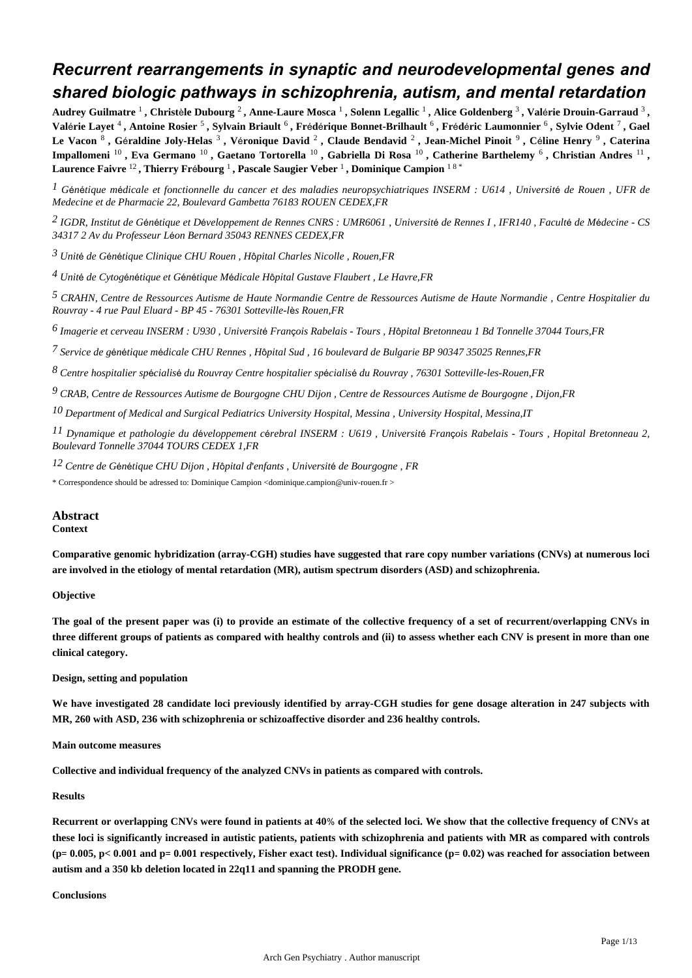# *Recurrent rearrangements in synaptic and neurodevelopmental genes and shared biologic pathways in schizophrenia, autism, and mental retardation*

**Audrey Guilmatre** <sup>1</sup> **, Christ**è**le Dubourg** <sup>2</sup> **, Anne-Laure Mosca** <sup>1</sup> **, Solenn Legallic** <sup>1</sup> **, Alice Goldenberg** <sup>3</sup> **, Val**é**rie Drouin-Garraud** <sup>3</sup> **, Val**é**rie Layet** <sup>4</sup> **, Antoine Rosier** <sup>5</sup> **, Sylvain Briault** <sup>6</sup> **, Fr**é**d**é**rique Bonnet-Brilhault** <sup>6</sup> **, Fr**é**d**é**ric Laumonnier** <sup>6</sup> **, Sylvie Odent** <sup>7</sup> **, Gael Le Vacon** <sup>8</sup> **, G**é**raldine Joly-Helas** <sup>3</sup> **, V**é**ronique David** <sup>2</sup> **, Claude Bendavid** <sup>2</sup> **, Jean-Michel Pinoit** <sup>9</sup> **, C**é**line Henry** <sup>9</sup> **, Caterina**  $\bm{\Gamma}$ Impallomeni  $^{10}$  , Eva Germano  $^{10}$  , Gaetano Tortorella  $^{10}$  , Gabriella Di Rosa  $^{10}$  , Catherine Barthelemy  $^6$  , Christian Andres  $^{11}$  , **Laurence Faivre** <sup>12</sup> **, Thierry Fr**é**bourg** <sup>1</sup> **, Pascale Saugier Veber** <sup>1</sup> **, Dominique Campion** 1 8 \*

*G n tique m dicale et fonctionnelle du cancer et des maladies neuropsychiatriques 1* <sup>é</sup> <sup>é</sup> <sup>é</sup> *INSERM : U614 , Universit*é *de Rouen , UFR de Medecine et de Pharmacie 22, Boulevard Gambetta 76183 ROUEN CEDEX,FR*

*IGDR, Institut de G n tique et D veloppement de Rennes 2* <sup>é</sup> <sup>é</sup> <sup>é</sup> *CNRS : UMR6061 , Universit*é *de Rennes I , IFR140 , Facult*é *de M*é*decine - CS 34317 2 Av du Professeur L*é*on Bernard 35043 RENNES CEDEX,FR*

*Unit de G n tique Clinique 3* <sup>é</sup> <sup>é</sup> <sup>é</sup> *CHU Rouen , H*ô*pital Charles Nicolle , Rouen,FR*

*Unit de Cytog n tique et G n tique M dicale 4* <sup>é</sup> <sup>é</sup> <sup>é</sup> <sup>é</sup> <sup>é</sup> <sup>é</sup> *H*ô*pital Gustave Flaubert , Le Havre,FR*

*CRAHN, Centre de Ressources Autisme de Haute Normandie 5 Centre de Ressources Autisme de Haute Normandie , Centre Hospitalier du Rouvray - 4 rue Paul Eluard - BP 45 - 76301 Sotteville-l*è*s Rouen,FR*

*Imagerie et cerveau 6 INSERM : U930 , Universit*é *Fran*ç*ois Rabelais - Tours , H*ô*pital Bretonneau 1 Bd Tonnelle 37044 Tours,FR*

*Service de g n tique m dicale 7* <sup>é</sup> <sup>é</sup> <sup>é</sup> *CHU Rennes , H*ô*pital Sud , 16 boulevard de Bulgarie BP 90347 35025 Rennes,FR*

*Centre hospitalier sp cialis du Rouvray 8* <sup>é</sup> <sup>é</sup> *Centre hospitalier sp*é*cialis*é *du Rouvray , 76301 Sotteville-les-Rouen,FR*

*CRAB, Centre de Ressources Autisme de Bourgogne 9 CHU Dijon , Centre de Ressources Autisme de Bourgogne , Dijon,FR*

*Department of Medical and Surgical Pediatrics 10 University Hospital, Messina , University Hospital, Messina,IT*

*Dynamique et pathologie du d veloppement c rebral 11* <sup>é</sup> <sup>é</sup> *INSERM : U619 , Universit*é *Fran*ç*ois Rabelais - Tours , Hopital Bretonneau 2, Boulevard Tonnelle 37044 TOURS CEDEX 1,FR*

*Centre de G n tique 12* <sup>é</sup> <sup>é</sup> *CHU Dijon , H*ô*pital d*'*enfants , Universit*é *de Bourgogne , FR*

\* Correspondence should be adressed to: Dominique Campion <dominique.campion@univ-rouen.fr >

## **Abstract**

## **Context**

**Comparative genomic hybridization (array-CGH) studies have suggested that rare copy number variations (CNVs) at numerous loci are involved in the etiology of mental retardation (MR), autism spectrum disorders (ASD) and schizophrenia.**

## **Objective**

**The goal of the present paper was (i) to provide an estimate of the collective frequency of a set of recurrent/overlapping CNVs in three different groups of patients as compared with healthy controls and (ii) to assess whether each CNV is present in more than one clinical category.**

**Design, setting and population**

**We have investigated 28 candidate loci previously identified by array-CGH studies for gene dosage alteration in 247 subjects with MR, 260 with ASD, 236 with schizophrenia or schizoaffective disorder and 236 healthy controls.**

**Main outcome measures**

**Collective and individual frequency of the analyzed CNVs in patients as compared with controls.**

## **Results**

**Recurrent or overlapping CNVs were found in patients at 40**% **of the selected loci. We show that the collective frequency of CNVs at these loci is significantly increased in autistic patients, patients with schizophrenia and patients with MR as compared with controls (p**= **0.005, p< 0.001 and p**= **0.001 respectively, Fisher exact test). Individual significance (p**= **0.02) was reached for association between autism and a 350 kb deletion located in 22q11 and spanning the PRODH gene.**

**Conclusions**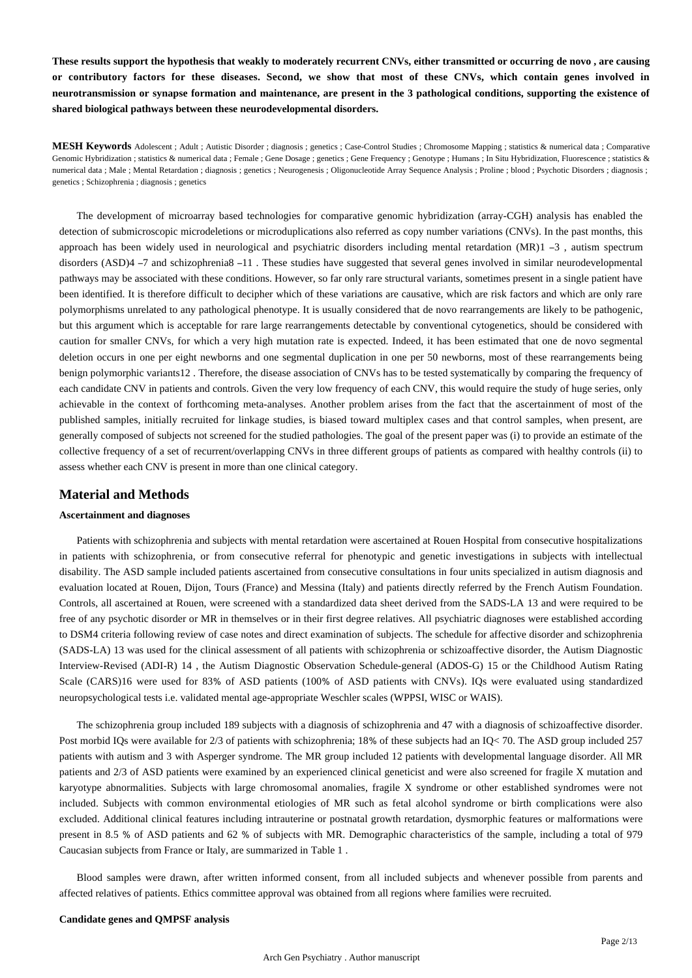**These results support the hypothesis that weakly to moderately recurrent CNVs, either transmitted or occurring de novo , are causing or contributory factors for these diseases. Second, we show that most of these CNVs, which contain genes involved in neurotransmission or synapse formation and maintenance, are present in the 3 pathological conditions, supporting the existence of shared biological pathways between these neurodevelopmental disorders.**

**MESH Keywords** Adolescent ; Adult ; Autistic Disorder ; diagnosis ; genetics ; Case-Control Studies ; Chromosome Mapping ; statistics & numerical data ; Comparative Genomic Hybridization ; statistics & numerical data ; Female ; Gene Dosage ; genetics ; Gene Frequency ; Genotype ; Humans ; In Situ Hybridization, Fluorescence ; statistics & numerical data ; Male ; Mental Retardation ; diagnosis ; genetics ; Neurogenesis ; Oligonucleotide Array Sequence Analysis ; Proline ; blood ; Psychotic Disorders ; diagnosis ; genetics ; Schizophrenia ; diagnosis ; genetics

The development of microarray based technologies for comparative genomic hybridization (array-CGH) analysis has enabled the detection of submicroscopic microdeletions or microduplications also referred as copy number variations (CNVs). In the past months, this approach has been widely used in neurological and psychiatric disorders including mental retardation (MR)1 –3 , autism spectrum disorders (ASD)4 –7 and schizophrenia8 –11 . These studies have suggested that several genes involved in similar neurodevelopmental pathways may be associated with these conditions. However, so far only rare structural variants, sometimes present in a single patient have been identified. It is therefore difficult to decipher which of these variations are causative, which are risk factors and which are only rare polymorphisms unrelated to any pathological phenotype. It is usually considered that de novo rearrangements are likely to be pathogenic, but this argument which is acceptable for rare large rearrangements detectable by conventional cytogenetics, should be considered with caution for smaller CNVs, for which a very high mutation rate is expected. Indeed, it has been estimated that one de novo segmental deletion occurs in one per eight newborns and one segmental duplication in one per 50 newborns, most of these rearrangements being benign polymorphic variants12 . Therefore, the disease association of CNVs has to be tested systematically by comparing the frequency of each candidate CNV in patients and controls. Given the very low frequency of each CNV, this would require the study of huge series, only achievable in the context of forthcoming meta-analyses. Another problem arises from the fact that the ascertainment of most of the published samples, initially recruited for linkage studies, is biased toward multiplex cases and that control samples, when present, are generally composed of subjects not screened for the studied pathologies. The goal of the present paper was (i) to provide an estimate of the collective frequency of a set of recurrent/overlapping CNVs in three different groups of patients as compared with healthy controls (ii) to assess whether each CNV is present in more than one clinical category.

## **Material and Methods**

## **Ascertainment and diagnoses**

Patients with schizophrenia and subjects with mental retardation were ascertained at Rouen Hospital from consecutive hospitalizations in patients with schizophrenia, or from consecutive referral for phenotypic and genetic investigations in subjects with intellectual disability. The ASD sample included patients ascertained from consecutive consultations in four units specialized in autism diagnosis and evaluation located at Rouen, Dijon, Tours (France) and Messina (Italy) and patients directly referred by the French Autism Foundation. Controls, all ascertained at Rouen, were screened with a standardized data sheet derived from the SADS-LA 13 and were required to be free of any psychotic disorder or MR in themselves or in their first degree relatives. All psychiatric diagnoses were established according to DSM4 criteria following review of case notes and direct examination of subjects. The schedule for affective disorder and schizophrenia (SADS-LA) 13 was used for the clinical assessment of all patients with schizophrenia or schizoaffective disorder, the Autism Diagnostic Interview-Revised (ADI-R) 14 , the Autism Diagnostic Observation Schedule-general (ADOS-G) 15 or the Childhood Autism Rating Scale (CARS)16 were used for 83% of ASD patients (100% of ASD patients with CNVs). IQs were evaluated using standardized neuropsychological tests i.e. validated mental age-appropriate Weschler scales (WPPSI, WISC or WAIS).

The schizophrenia group included 189 subjects with a diagnosis of schizophrenia and 47 with a diagnosis of schizoaffective disorder. Post morbid IQs were available for 2/3 of patients with schizophrenia; 18% of these subjects had an IQ< 70. The ASD group included 257 patients with autism and 3 with Asperger syndrome. The MR group included 12 patients with developmental language disorder. All MR patients and 2/3 of ASD patients were examined by an experienced clinical geneticist and were also screened for fragile X mutation and karyotype abnormalities. Subjects with large chromosomal anomalies, fragile X syndrome or other established syndromes were not included. Subjects with common environmental etiologies of MR such as fetal alcohol syndrome or birth complications were also excluded. Additional clinical features including intrauterine or postnatal growth retardation, dysmorphic features or malformations were present in 8.5 % of ASD patients and 62 % of subjects with MR. Demographic characteristics of the sample, including a total of 979 Caucasian subjects from France or Italy, are summarized in Table 1 .

Blood samples were drawn, after written informed consent, from all included subjects and whenever possible from parents and affected relatives of patients. Ethics committee approval was obtained from all regions where families were recruited.

## **Candidate genes and QMPSF analysis**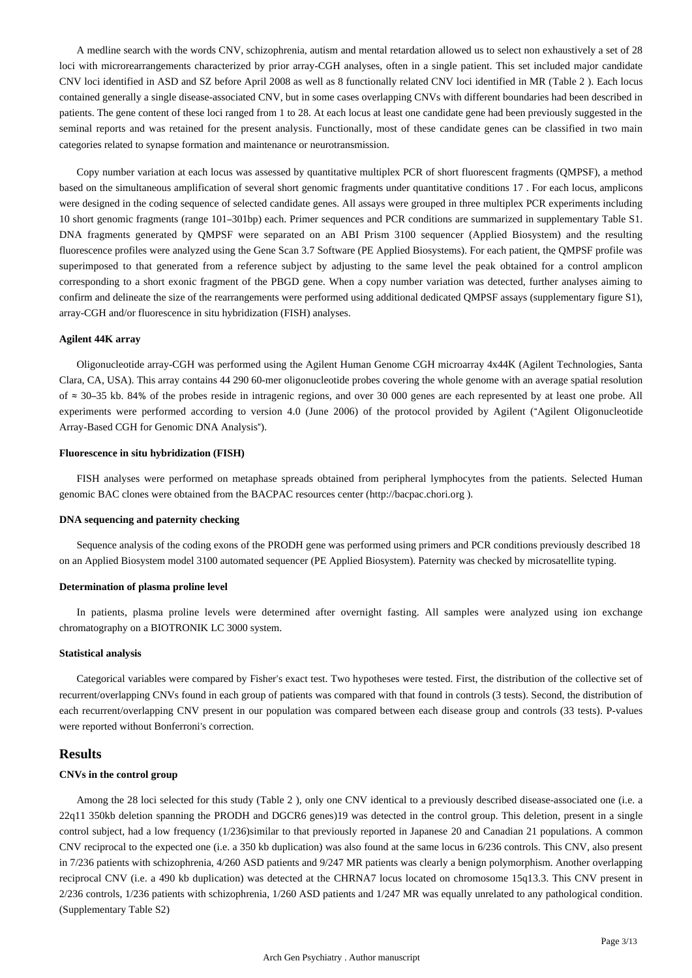A medline search with the words CNV, schizophrenia, autism and mental retardation allowed us to select non exhaustively a set of 28 loci with microrearrangements characterized by prior array-CGH analyses, often in a single patient. This set included major candidate CNV loci identified in ASD and SZ before April 2008 as well as 8 functionally related CNV loci identified in MR (Table 2 ). Each locus contained generally a single disease-associated CNV, but in some cases overlapping CNVs with different boundaries had been described in patients. The gene content of these loci ranged from 1 to 28. At each locus at least one candidate gene had been previously suggested in the seminal reports and was retained for the present analysis. Functionally, most of these candidate genes can be classified in two main categories related to synapse formation and maintenance or neurotransmission.

Copy number variation at each locus was assessed by quantitative multiplex PCR of short fluorescent fragments (QMPSF), a method based on the simultaneous amplification of several short genomic fragments under quantitative conditions 17 . For each locus, amplicons were designed in the coding sequence of selected candidate genes. All assays were grouped in three multiplex PCR experiments including 10 short genomic fragments (range 101–301bp) each. Primer sequences and PCR conditions are summarized in supplementary Table S1. DNA fragments generated by QMPSF were separated on an ABI Prism 3100 sequencer (Applied Biosystem) and the resulting fluorescence profiles were analyzed using the Gene Scan 3.7 Software (PE Applied Biosystems). For each patient, the QMPSF profile was superimposed to that generated from a reference subject by adjusting to the same level the peak obtained for a control amplicon corresponding to a short exonic fragment of the PBGD gene. When a copy number variation was detected, further analyses aiming to confirm and delineate the size of the rearrangements were performed using additional dedicated QMPSF assays (supplementary figure S1), array-CGH and/or fluorescence in situ hybridization (FISH) analyses.

## **Agilent 44K array**

Oligonucleotide array-CGH was performed using the Agilent Human Genome CGH microarray 4x44K (Agilent Technologies, Santa Clara, CA, USA). This array contains 44 290 60-mer oligonucleotide probes covering the whole genome with an average spatial resolution of ≈ 30–35 kb. 84% of the probes reside in intragenic regions, and over 30 000 genes are each represented by at least one probe. All experiments were performed according to version 4.0 (June 2006) of the protocol provided by Agilent ("Agilent Oligonucleotide Array-Based CGH for Genomic DNA Analysis").

## **Fluorescence in situ hybridization (FISH)**

FISH analyses were performed on metaphase spreads obtained from peripheral lymphocytes from the patients. Selected Human genomic BAC clones were obtained from the BACPAC resources center (http://bacpac.chori.org ).

#### **DNA sequencing and paternity checking**

Sequence analysis of the coding exons of the PRODH gene was performed using primers and PCR conditions previously described 18 on an Applied Biosystem model 3100 automated sequencer (PE Applied Biosystem). Paternity was checked by microsatellite typing.

#### **Determination of plasma proline level**

In patients, plasma proline levels were determined after overnight fasting. All samples were analyzed using ion exchange chromatography on a BIOTRONIK LC 3000 system.

#### **Statistical analysis**

Categorical variables were compared by Fisher's exact test. Two hypotheses were tested. First, the distribution of the collective set of recurrent/overlapping CNVs found in each group of patients was compared with that found in controls (3 tests). Second, the distribution of each recurrent/overlapping CNV present in our population was compared between each disease group and controls (33 tests). P-values were reported without Bonferroni's correction.

## **Results**

#### **CNVs in the control group**

Among the 28 loci selected for this study (Table 2 ), only one CNV identical to a previously described disease-associated one (i.e. a 22q11 350kb deletion spanning the PRODH and DGCR6 genes)19 was detected in the control group. This deletion, present in a single control subject, had a low frequency (1/236)similar to that previously reported in Japanese 20 and Canadian 21 populations. A common CNV reciprocal to the expected one (i.e. a 350 kb duplication) was also found at the same locus in 6/236 controls. This CNV, also present in 7/236 patients with schizophrenia, 4/260 ASD patients and 9/247 MR patients was clearly a benign polymorphism. Another overlapping reciprocal CNV (i.e. a 490 kb duplication) was detected at the CHRNA7 locus located on chromosome 15q13.3. This CNV present in 2/236 controls, 1/236 patients with schizophrenia, 1/260 ASD patients and 1/247 MR was equally unrelated to any pathological condition. (Supplementary Table S2)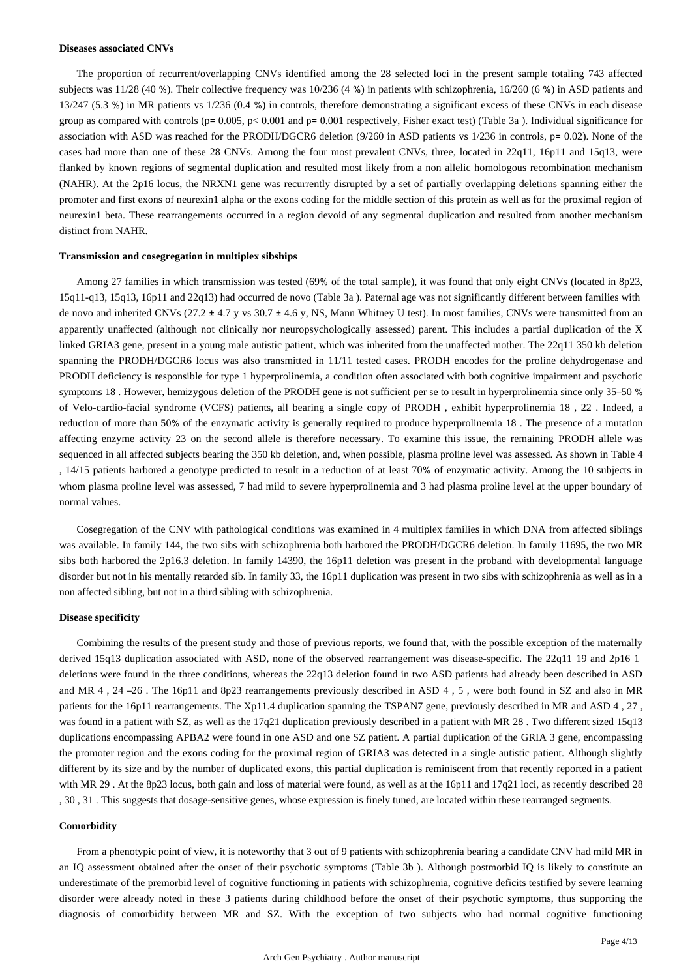#### **Diseases associated CNVs**

The proportion of recurrent/overlapping CNVs identified among the 28 selected loci in the present sample totaling 743 affected subjects was 11/28 (40 %). Their collective frequency was 10/236 (4 %) in patients with schizophrenia, 16/260 (6 %) in ASD patients and 13/247 (5.3 %) in MR patients vs 1/236 (0.4 %) in controls, therefore demonstrating a significant excess of these CNVs in each disease group as compared with controls (p= 0.005, p< 0.001 and p= 0.001 respectively, Fisher exact test) (Table 3a ). Individual significance for association with ASD was reached for the PRODH/DGCR6 deletion (9/260 in ASD patients vs 1/236 in controls, p= 0.02). None of the cases had more than one of these 28 CNVs. Among the four most prevalent CNVs, three, located in 22q11, 16p11 and 15q13, were flanked by known regions of segmental duplication and resulted most likely from a non allelic homologous recombination mechanism (NAHR). At the 2p16 locus, the NRXN1 gene was recurrently disrupted by a set of partially overlapping deletions spanning either the promoter and first exons of neurexin1 alpha or the exons coding for the middle section of this protein as well as for the proximal region of neurexin1 beta. These rearrangements occurred in a region devoid of any segmental duplication and resulted from another mechanism distinct from NAHR.

#### **Transmission and cosegregation in multiplex sibships**

Among 27 families in which transmission was tested (69% of the total sample), it was found that only eight CNVs (located in 8p23, 15q11-q13, 15q13, 16p11 and 22q13) had occurred de novo (Table 3a ). Paternal age was not significantly different between families with de novo and inherited CNVs (27.2  $\pm$  4.7 y vs 30.7  $\pm$  4.6 y, NS, Mann Whitney U test). In most families, CNVs were transmitted from an apparently unaffected (although not clinically nor neuropsychologically assessed) parent. This includes a partial duplication of the X linked GRIA3 gene, present in a young male autistic patient, which was inherited from the unaffected mother. The 22q11 350 kb deletion spanning the PRODH/DGCR6 locus was also transmitted in 11/11 tested cases. PRODH encodes for the proline dehydrogenase and PRODH deficiency is responsible for type 1 hyperprolinemia, a condition often associated with both cognitive impairment and psychotic symptoms 18 . However, hemizygous deletion of the PRODH gene is not sufficient per se to result in hyperprolinemia since only 35–50 % of Velo-cardio-facial syndrome (VCFS) patients, all bearing a single copy of PRODH , exhibit hyperprolinemia 18 , 22 . Indeed, a reduction of more than 50% of the enzymatic activity is generally required to produce hyperprolinemia 18 . The presence of a mutation affecting enzyme activity 23 on the second allele is therefore necessary. To examine this issue, the remaining PRODH allele was sequenced in all affected subjects bearing the 350 kb deletion, and, when possible, plasma proline level was assessed. As shown in Table 4 , 14/15 patients harbored a genotype predicted to result in a reduction of at least 70% of enzymatic activity. Among the 10 subjects in whom plasma proline level was assessed, 7 had mild to severe hyperprolinemia and 3 had plasma proline level at the upper boundary of normal values.

Cosegregation of the CNV with pathological conditions was examined in 4 multiplex families in which DNA from affected siblings was available. In family 144, the two sibs with schizophrenia both harbored the PRODH/DGCR6 deletion. In family 11695, the two MR sibs both harbored the 2p16.3 deletion. In family 14390, the 16p11 deletion was present in the proband with developmental language disorder but not in his mentally retarded sib. In family 33, the 16p11 duplication was present in two sibs with schizophrenia as well as in a non affected sibling, but not in a third sibling with schizophrenia.

#### **Disease specificity**

Combining the results of the present study and those of previous reports, we found that, with the possible exception of the maternally derived 15q13 duplication associated with ASD, none of the observed rearrangement was disease-specific. The 22q11 19 and 2p16 1 deletions were found in the three conditions, whereas the 22q13 deletion found in two ASD patients had already been described in ASD and MR 4 , 24 –26 . The 16p11 and 8p23 rearrangements previously described in ASD 4 , 5 , were both found in SZ and also in MR patients for the 16p11 rearrangements. The Xp11.4 duplication spanning the TSPAN7 gene, previously described in MR and ASD 4 , 27 , was found in a patient with SZ, as well as the 17q21 duplication previously described in a patient with MR 28 . Two different sized 15q13 duplications encompassing APBA2 were found in one ASD and one SZ patient. A partial duplication of the GRIA 3 gene, encompassing the promoter region and the exons coding for the proximal region of GRIA3 was detected in a single autistic patient. Although slightly different by its size and by the number of duplicated exons, this partial duplication is reminiscent from that recently reported in a patient with MR 29. At the 8p23 locus, both gain and loss of material were found, as well as at the 16p11 and 17q21 loci, as recently described 28 , 30 , 31 . This suggests that dosage-sensitive genes, whose expression is finely tuned, are located within these rearranged segments.

#### **Comorbidity**

From a phenotypic point of view, it is noteworthy that 3 out of 9 patients with schizophrenia bearing a candidate CNV had mild MR in an IQ assessment obtained after the onset of their psychotic symptoms (Table 3b ). Although postmorbid IQ is likely to constitute an underestimate of the premorbid level of cognitive functioning in patients with schizophrenia, cognitive deficits testified by severe learning disorder were already noted in these 3 patients during childhood before the onset of their psychotic symptoms, thus supporting the diagnosis of comorbidity between MR and SZ. With the exception of two subjects who had normal cognitive functioning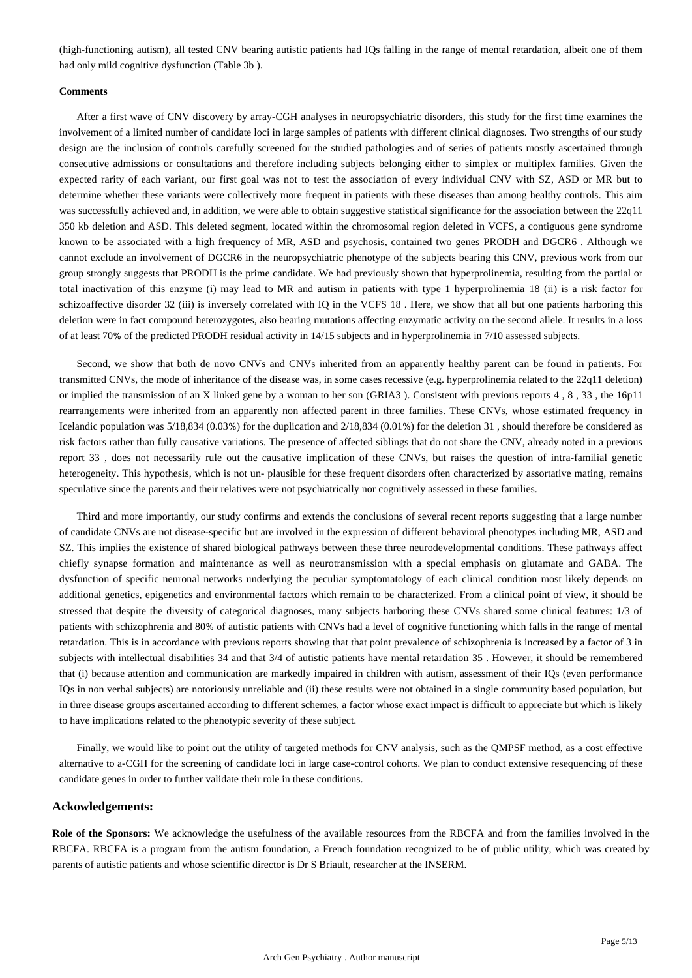(high-functioning autism), all tested CNV bearing autistic patients had IQs falling in the range of mental retardation, albeit one of them had only mild cognitive dysfunction (Table 3b ).

## **Comments**

After a first wave of CNV discovery by array-CGH analyses in neuropsychiatric disorders, this study for the first time examines the involvement of a limited number of candidate loci in large samples of patients with different clinical diagnoses. Two strengths of our study design are the inclusion of controls carefully screened for the studied pathologies and of series of patients mostly ascertained through consecutive admissions or consultations and therefore including subjects belonging either to simplex or multiplex families. Given the expected rarity of each variant, our first goal was not to test the association of every individual CNV with SZ, ASD or MR but to determine whether these variants were collectively more frequent in patients with these diseases than among healthy controls. This aim was successfully achieved and, in addition, we were able to obtain suggestive statistical significance for the association between the 22q11 350 kb deletion and ASD. This deleted segment, located within the chromosomal region deleted in VCFS, a contiguous gene syndrome known to be associated with a high frequency of MR, ASD and psychosis, contained two genes PRODH and DGCR6 . Although we cannot exclude an involvement of DGCR6 in the neuropsychiatric phenotype of the subjects bearing this CNV, previous work from our group strongly suggests that PRODH is the prime candidate. We had previously shown that hyperprolinemia, resulting from the partial or total inactivation of this enzyme (i) may lead to MR and autism in patients with type 1 hyperprolinemia 18 (ii) is a risk factor for schizoaffective disorder 32 (iii) is inversely correlated with IQ in the VCFS 18. Here, we show that all but one patients harboring this deletion were in fact compound heterozygotes, also bearing mutations affecting enzymatic activity on the second allele. It results in a loss of at least 70% of the predicted PRODH residual activity in 14/15 subjects and in hyperprolinemia in 7/10 assessed subjects.

Second, we show that both de novo CNVs and CNVs inherited from an apparently healthy parent can be found in patients. For transmitted CNVs, the mode of inheritance of the disease was, in some cases recessive (e.g. hyperprolinemia related to the 22q11 deletion) or implied the transmission of an X linked gene by a woman to her son (GRIA3 ). Consistent with previous reports 4 , 8 , 33 , the 16p11 rearrangements were inherited from an apparently non affected parent in three families. These CNVs, whose estimated frequency in Icelandic population was 5/18,834 (0.03%) for the duplication and 2/18,834 (0.01%) for the deletion 31 , should therefore be considered as risk factors rather than fully causative variations. The presence of affected siblings that do not share the CNV, already noted in a previous report 33 , does not necessarily rule out the causative implication of these CNVs, but raises the question of intra-familial genetic heterogeneity. This hypothesis, which is not un- plausible for these frequent disorders often characterized by assortative mating, remains speculative since the parents and their relatives were not psychiatrically nor cognitively assessed in these families.

Third and more importantly, our study confirms and extends the conclusions of several recent reports suggesting that a large number of candidate CNVs are not disease-specific but are involved in the expression of different behavioral phenotypes including MR, ASD and SZ. This implies the existence of shared biological pathways between these three neurodevelopmental conditions. These pathways affect chiefly synapse formation and maintenance as well as neurotransmission with a special emphasis on glutamate and GABA. The dysfunction of specific neuronal networks underlying the peculiar symptomatology of each clinical condition most likely depends on additional genetics, epigenetics and environmental factors which remain to be characterized. From a clinical point of view, it should be stressed that despite the diversity of categorical diagnoses, many subjects harboring these CNVs shared some clinical features: 1/3 of patients with schizophrenia and 80% of autistic patients with CNVs had a level of cognitive functioning which falls in the range of mental retardation. This is in accordance with previous reports showing that that point prevalence of schizophrenia is increased by a factor of 3 in subjects with intellectual disabilities 34 and that 3/4 of autistic patients have mental retardation 35 . However, it should be remembered that (i) because attention and communication are markedly impaired in children with autism, assessment of their IQs (even performance IQs in non verbal subjects) are notoriously unreliable and (ii) these results were not obtained in a single community based population, but in three disease groups ascertained according to different schemes, a factor whose exact impact is difficult to appreciate but which is likely to have implications related to the phenotypic severity of these subject.

Finally, we would like to point out the utility of targeted methods for CNV analysis, such as the QMPSF method, as a cost effective alternative to a-CGH for the screening of candidate loci in large case-control cohorts. We plan to conduct extensive resequencing of these candidate genes in order to further validate their role in these conditions.

## **Ackowledgements:**

**Role of the Sponsors:** We acknowledge the usefulness of the available resources from the RBCFA and from the families involved in the RBCFA. RBCFA is a program from the autism foundation, a French foundation recognized to be of public utility, which was created by parents of autistic patients and whose scientific director is Dr S Briault, researcher at the INSERM.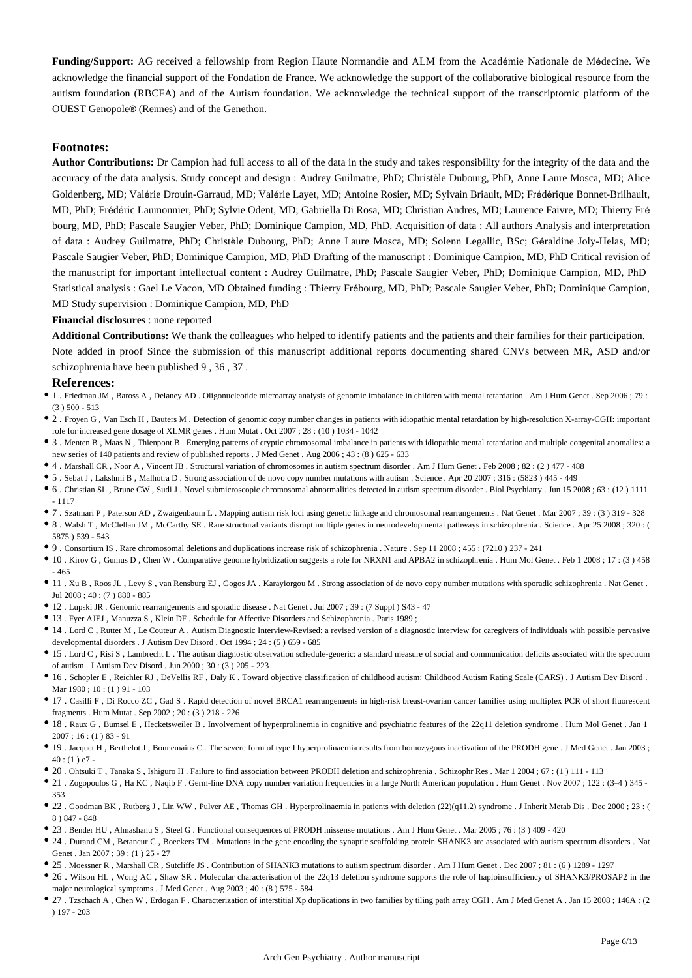**Funding/Support:** AG received a fellowship from Region Haute Normandie and ALM from the Académie Nationale de Médecine. We acknowledge the financial support of the Fondation de France. We acknowledge the support of the collaborative biological resource from the autism foundation (RBCFA) and of the Autism foundation. We acknowledge the technical support of the transcriptomic platform of the OUEST Genopole® (Rennes) and of the Genethon.

## **Footnotes:**

**Author Contributions:** Dr Campion had full access to all of the data in the study and takes responsibility for the integrity of the data and the accuracy of the data analysis. Study concept and design : Audrey Guilmatre, PhD; Christèle Dubourg, PhD, Anne Laure Mosca, MD; Alice Goldenberg, MD; Valérie Drouin-Garraud, MD; Valérie Layet, MD; Antoine Rosier, MD; Sylvain Briault, MD; Frédérique Bonnet-Brilhault, MD, PhD; Frédéric Laumonnier, PhD; Sylvie Odent, MD; Gabriella Di Rosa, MD; Christian Andres, MD; Laurence Faivre, MD; Thierry Fré bourg, MD, PhD; Pascale Saugier Veber, PhD; Dominique Campion, MD, PhD. Acquisition of data : All authors Analysis and interpretation of data : Audrey Guilmatre, PhD; Christèle Dubourg, PhD; Anne Laure Mosca, MD; Solenn Legallic, BSc; Géraldine Joly-Helas, MD; Pascale Saugier Veber, PhD; Dominique Campion, MD, PhD Drafting of the manuscript : Dominique Campion, MD, PhD Critical revision of the manuscript for important intellectual content : Audrey Guilmatre, PhD; Pascale Saugier Veber, PhD; Dominique Campion, MD, PhD Statistical analysis : Gael Le Vacon, MD Obtained funding : Thierry Frébourg, MD, PhD; Pascale Saugier Veber, PhD; Dominique Campion, MD Study supervision : Dominique Campion, MD, PhD

### **Financial disclosures** : none reported

**Additional Contributions:** We thank the colleagues who helped to identify patients and the patients and their families for their participation.

Note added in proof Since the submission of this manuscript additional reports documenting shared CNVs between MR, ASD and/or schizophrenia have been published 9 , 36 , 37 .

#### **References:**

- 1 . Friedman JM , Baross A , Delaney AD . Oligonucleotide microarray analysis of genomic imbalance in children with mental retardation . Am J Hum Genet . Sep 2006 ; 79 : (3 ) 500 - 513
- 2 . Froyen G , Van Esch H , Bauters M . Detection of genomic copy number changes in patients with idiopathic mental retardation by high-resolution X-array-CGH: important role for increased gene dosage of XLMR genes. Hum Mutat . Oct  $2007 \cdot 28 \cdot (10)$  1034 - 1042
- 3 . Menten B , Maas N , Thienpont B . Emerging patterns of cryptic chromosomal imbalance in patients with idiopathic mental retardation and multiple congenital anomalies: a new series of 140 patients and review of published reports . J Med Genet . Aug 2006 ; 43 : (8 ) 625 - 633
- 4 . Marshall CR , Noor A , Vincent JB . Structural variation of chromosomes in autism spectrum disorder . Am J Hum Genet . Feb 2008 ; 82 : (2 ) 477 488
- 5 . Sebat J , Lakshmi B , Malhotra D . Strong association of de novo copy number mutations with autism . Science . Apr 20 2007 ; 316 : (5823 ) 445 449
- 6 . Christian SL , Brune CW , Sudi J . Novel submicroscopic chromosomal abnormalities detected in autism spectrum disorder . Biol Psychiatry . Jun 15 2008 ; 63 : (12 ) 1111 - 1117
- 7 . Szatmari P , Paterson AD , Zwaigenbaum L . Mapping autism risk loci using genetic linkage and chromosomal rearrangements . Nat Genet . Mar 2007 ; 39 : (3 ) 319 328
- 8 . Walsh T , McClellan JM , McCarthy SE . Rare structural variants disrupt multiple genes in neurodevelopmental pathways in schizophrenia . Science . Apr 25 2008 ; 320 : ( 5875 ) 539 - 543
- 9 . Consortium IS . Rare chromosomal deletions and duplications increase risk of schizophrenia . Nature . Sep 11 2008 ; 455 : (7210 ) 237 241
- 10 . Kirov G , Gumus D , Chen W . Comparative genome hybridization suggests a role for NRXN1 and APBA2 in schizophrenia . Hum Mol Genet . Feb 1 2008 ; 17 : (3 ) 458 - 465
- 11 . Xu B , Roos JL , Levy S , van Rensburg EJ , Gogos JA , Karayiorgou M . Strong association of de novo copy number mutations with sporadic schizophrenia . Nat Genet . Jul 2008 ; 40 : (7 ) 880 - 885
- 12 . Lupski JR . Genomic rearrangements and sporadic disease . Nat Genet . Jul 2007 ; 39 : (7 Suppl ) S43 47
- 13 . Fyer AJEJ , Manuzza S , Klein DF . Schedule for Affective Disorders and Schizophrenia . Paris 1989 ;
- 14 . Lord C , Rutter M , Le Couteur A . Autism Diagnostic Interview-Revised: a revised version of a diagnostic interview for caregivers of individuals with possible pervasive developmental disorders . J Autism Dev Disord . Oct 1994 ; 24 : (5 ) 659 - 685
- $\bullet$  15 . Lord C, Risi S, Lambrecht L. The autism diagnostic observation schedule-generic: a standard measure of social and communication deficits associated with the spectrum of autism . J Autism Dev Disord . Jun 2000 ; 30 : (3 ) 205 - 223
- 16 . Schopler E , Reichler RJ , DeVellis RF , Daly K . Toward objective classification of childhood autism: Childhood Autism Rating Scale (CARS) . J Autism Dev Disord . Mar  $1980:10:(1)$  91 - 103
- 17 . Casilli F , Di Rocco ZC , Gad S . Rapid detection of novel BRCA1 rearrangements in high-risk breast-ovarian cancer families using multiplex PCR of short fluorescent fragments . Hum Mutat . Sep 2002 ; 20 : (3 ) 218 - 226
- 18 . Raux G , Bumsel E , Hecketsweiler B . Involvement of hyperprolinemia in cognitive and psychiatric features of the 22q11 deletion syndrome . Hum Mol Genet . Jan 1  $2007:16: (1)83-91$
- 19 . Jacquet H , Berthelot J , Bonnemains C . The severe form of type I hyperprolinaemia results from homozygous inactivation of the PRODH gene . J Med Genet . Jan 2003 ;  $40: (1)$  e7 -
- 20 . Ohtsuki T , Tanaka S , Ishiguro H . Failure to find association between PRODH deletion and schizophrenia . Schizophr Res . Mar 1 2004 ; 67 : (1 ) 111 113
- 21 . Zogopoulos G , Ha KC , Naqib F . Germ-line DNA copy number variation frequencies in a large North American population . Hum Genet . Nov 2007 ; 122 : (3–4 ) 345 353
- 22 . Goodman BK , Rutberg J , Lin WW , Pulver AE , Thomas GH . Hyperprolinaemia in patients with deletion (22)(q11.2) syndrome . J Inherit Metab Dis . Dec 2000 ; 23 : ( 8 ) 847 - 848
- 23 . Bender HU , Almashanu S , Steel G . Functional consequences of PRODH missense mutations . Am J Hum Genet . Mar 2005 ; 76 : (3 ) 409 420
- 24 . Durand CM , Betancur C , Boeckers TM . Mutations in the gene encoding the synaptic scaffolding protein SHANK3 are associated with autism spectrum disorders . Nat Genet . Jan 2007 ; 39 : (1 ) 25 - 27
- 25 . Moessner R , Marshall CR , Sutcliffe JS . Contribution of SHANK3 mutations to autism spectrum disorder . Am J Hum Genet . Dec 2007 ; 81 : (6 ) 1289 1297
- 26 . Wilson HL , Wong AC , Shaw SR . Molecular characterisation of the 22q13 deletion syndrome supports the role of haploinsufficiency of SHANK3/PROSAP2 in the major neurological symptoms . J Med Genet . Aug 2003 ; 40 : (8 ) 575 - 584
- 27 . Tzschach A , Chen W , Erdogan F . Characterization of interstitial Xp duplications in two families by tiling path array CGH . Am J Med Genet A . Jan 15 2008 ; 146A : (2 ) 197 - 203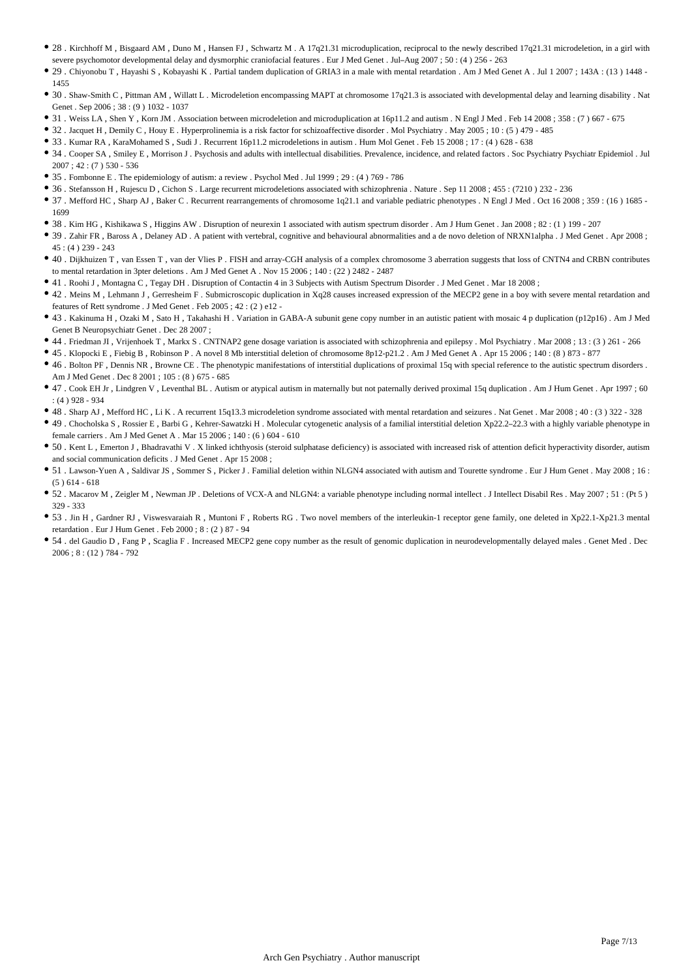- 28 . Kirchhoff M , Bisgaard AM , Duno M , Hansen FJ , Schwartz M . A 17q21.31 microduplication, reciprocal to the newly described 17q21.31 microdeletion, in a girl with severe psychomotor developmental delay and dysmorphic craniofacial features . Eur J Med Genet . Jul–Aug 2007 ; 50 : (4 ) 256 - 263
- 29 . Chiyonobu T , Hayashi S , Kobayashi K . Partial tandem duplication of GRIA3 in a male with mental retardation . Am J Med Genet A . Jul 1 2007 ; 143A : (13 ) 1448 1455
- 30 . Shaw-Smith C , Pittman AM , Willatt L . Microdeletion encompassing MAPT at chromosome 17q21.3 is associated with developmental delay and learning disability . Nat Genet . Sep 2006 ; 38 : (9 ) 1032 - 1037
- 31 . Weiss LA , Shen Y , Korn JM . Association between microdeletion and microduplication at 16p11.2 and autism . N Engl J Med . Feb 14 2008 ; 358 : (7 ) 667 675
- 32 . Jacquet H , Demily C , Houy E . Hyperprolinemia is a risk factor for schizoaffective disorder . Mol Psychiatry . May 2005 ; 10 : (5 ) 479 485
- 33 . Kumar RA , KaraMohamed S , Sudi J . Recurrent 16p11.2 microdeletions in autism . Hum Mol Genet . Feb 15 2008 ; 17 : (4 ) 628 638
- 34 . Cooper SA , Smiley E , Morrison J . Psychosis and adults with intellectual disabilities. Prevalence, incidence, and related factors . Soc Psychiatry Psychiatr Epidemiol . Jul 2007 ; 42 : (7 ) 530 - 536
- 35 . Fombonne E . The epidemiology of autism: a review . Psychol Med . Jul 1999 ; 29 : (4 ) 769 786
- 36 . Stefansson H , Rujescu D , Cichon S . Large recurrent microdeletions associated with schizophrenia . Nature . Sep 11 2008 ; 455 : (7210 ) 232 236
- 37 . Mefford HC , Sharp AJ , Baker C . Recurrent rearrangements of chromosome 1q21.1 and variable pediatric phenotypes . N Engl J Med . Oct 16 2008 ; 359 : (16 ) 1685 1699
- 38 . Kim HG , Kishikawa S , Higgins AW . Disruption of neurexin 1 associated with autism spectrum disorder . Am J Hum Genet . Jan 2008 ; 82 : (1 ) 199 207
- 39 . Zahir FR , Baross A , Delaney AD . A patient with vertebral, cognitive and behavioural abnormalities and a de novo deletion of NRXN1alpha . J Med Genet . Apr 2008 ; 45 : (4 ) 239 - 243
- 40 . Dijkhuizen T , van Essen T , van der Vlies P . FISH and array-CGH analysis of a complex chromosome 3 aberration suggests that loss of CNTN4 and CRBN contributes to mental retardation in 3pter deletions . Am J Med Genet A . Nov 15 2006 ; 140 : (22 ) 2482 - 2487
- 41 . Roohi J , Montagna C , Tegay DH . Disruption of Contactin 4 in 3 Subjects with Autism Spectrum Disorder . J Med Genet . Mar 18 2008 ;
- 42 . Meins M , Lehmann J , Gerresheim F . Submicroscopic duplication in Xq28 causes increased expression of the MECP2 gene in a boy with severe mental retardation and features of Rett syndrome . J Med Genet . Feb 2005 ; 42 : (2 ) e12 -
- 43 . Kakinuma H , Ozaki M , Sato H , Takahashi H . Variation in GABA-A subunit gene copy number in an autistic patient with mosaic 4 p duplication (p12p16) . Am J Med Genet B Neuropsychiatr Genet . Dec 28 2007 ;
- 44 . Friedman JI , Vrijenhoek T , Markx S . CNTNAP2 gene dosage variation is associated with schizophrenia and epilepsy . Mol Psychiatry . Mar 2008 ; 13 : (3 ) 261 266
- 45 . Klopocki E , Fiebig B , Robinson P . A novel 8 Mb interstitial deletion of chromosome 8p12-p21.2 . Am J Med Genet A . Apr 15 2006 ; 140 : (8 ) 873 877
- 46 . Bolton PF , Dennis NR , Browne CE . The phenotypic manifestations of interstitial duplications of proximal 15q with special reference to the autistic spectrum disorders . Am J Med Genet . Dec 8 2001 ; 105 : (8 ) 675 - 685
- 47 . Cook EH Jr , Lindgren V , Leventhal BL . Autism or atypical autism in maternally but not paternally derived proximal 15q duplication . Am J Hum Genet . Apr 1997 ; 60 : (4 ) 928 - 934
- 48 . Sharp AJ , Mefford HC , Li K . A recurrent 15q13.3 microdeletion syndrome associated with mental retardation and seizures . Nat Genet . Mar 2008 ; 40 : (3 ) 322 328
- 49 . Chocholska S , Rossier E , Barbi G , Kehrer-Sawatzki H . Molecular cytogenetic analysis of a familial interstitial deletion Xp22.2–22.3 with a highly variable phenotype in female carriers . Am J Med Genet A . Mar 15 2006 ; 140 : (6 ) 604 - 610
- 50. Kent L, Emerton J, Bhadravathi V. X linked ichthyosis (steroid sulphatase deficiency) is associated with increased risk of attention deficit hyperactivity disorder, autism and social communication deficits . J Med Genet . Apr 15 2008 ;
- 51 . Lawson-Yuen A , Saldivar JS , Sommer S , Picker J . Familial deletion within NLGN4 associated with autism and Tourette syndrome . Eur J Hum Genet . May 2008 ; 16 :  $(5)$  614 - 618
- 52 . Macarov M , Zeigler M , Newman JP . Deletions of VCX-A and NLGN4: a variable phenotype including normal intellect . J Intellect Disabil Res . May 2007 ; 51 : (Pt 5 ) 329 - 333
- 53 . Jin H , Gardner RJ , Viswesvaraiah R , Muntoni F , Roberts RG . Two novel members of the interleukin-1 receptor gene family, one deleted in Xp22.1-Xp21.3 mental retardation . Eur J Hum Genet . Feb 2000 ; 8 : (2 ) 87 - 94
- 54 . del Gaudio D , Fang P , Scaglia F . Increased MECP2 gene copy number as the result of genomic duplication in neurodevelopmentally delayed males . Genet Med . Dec 2006 ; 8 : (12 ) 784 - 792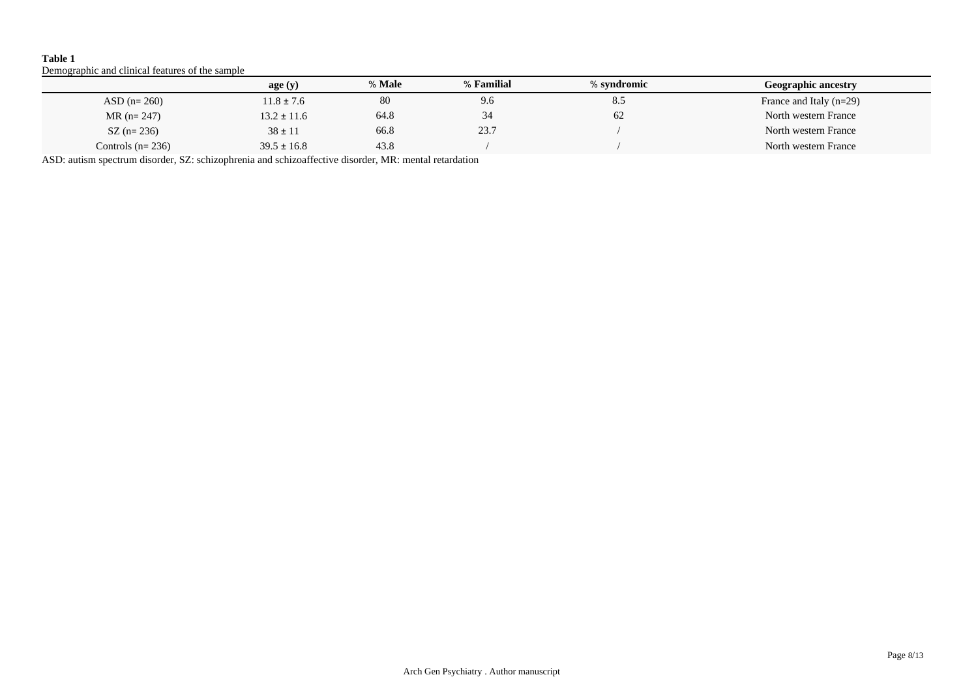## **Table 1** Demographic and clinical features of the sample

|                    | age(y)          | % Male | % Familial | % syndromic | <b>Geographic ancestry</b> |
|--------------------|-----------------|--------|------------|-------------|----------------------------|
| $ASD (n= 260)$     | $11.8 \pm 7.6$  | 80     | 9.6        | 8.5         | France and Italy (n=29)    |
| $MR (n = 247)$     | $13.2 \pm 11.6$ | 64.8   | 34         | 62          | North western France       |
| $SZ$ (n= 236)      | $38 \pm 11$     | 66.8   | 23.7       |             | North western France       |
| Controls $(n=236)$ | $39.5 \pm 16.8$ | 43.8   |            |             | North western France       |

ASD: autism spectrum disorder, SZ: schizophrenia and schizoaffective disorder, MR: mental retardation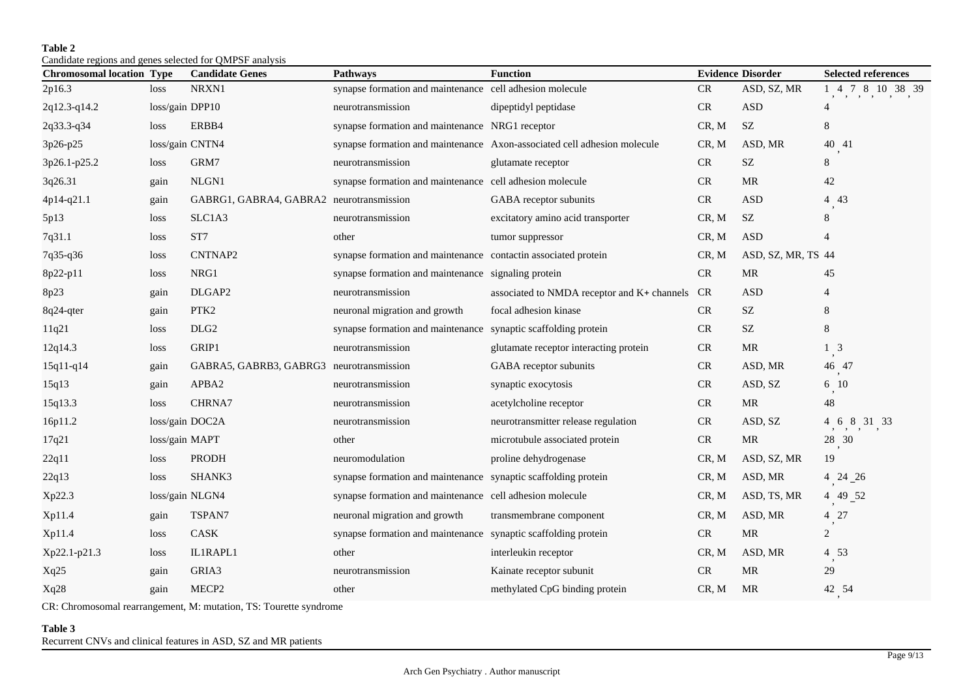## **Table 2**

Candidate regions and genes selected for QMPSF analysis

| <b>Chromosomal location Type</b> |                 | <b>Candidate Genes</b>                   | <b>Pathways</b>                                                | <b>Function</b>                                                          |             | <b>Evidence Disorder</b>          | <b>Selected references</b>         |
|----------------------------------|-----------------|------------------------------------------|----------------------------------------------------------------|--------------------------------------------------------------------------|-------------|-----------------------------------|------------------------------------|
| 2p16.3                           | loss            | NRXN1                                    | synapse formation and maintenance cell adhesion molecule       |                                                                          | CR          | ASD, SZ, MR                       | 1 4 7 8 10 38 39                   |
| 2q12.3-q14.2                     | loss/gain DPP10 |                                          | neurotransmission                                              | dipeptidyl peptidase                                                     | CR          | <b>ASD</b>                        |                                    |
| 2q33.3-q34                       | loss            | ERBB4                                    | synapse formation and maintenance NRG1 receptor                |                                                                          | CR, M       | SZ                                | 8                                  |
| 3p26-p25                         |                 | loss/gain CNTN4                          |                                                                | synapse formation and maintenance Axon-associated cell adhesion molecule | CR, M       | ASD, MR                           | 40 41                              |
| 3p26.1-p25.2                     | loss            | GRM7                                     | neurotransmission                                              | glutamate receptor                                                       | ${\cal CR}$ | $\ensuremath{\mathrm{SZ}}$        | 8                                  |
| 3q26.31                          | gain            | NLGN1                                    | synapse formation and maintenance cell adhesion molecule       |                                                                          | ${\sf CR}$  | $\ensuremath{\mathsf{MR}}\xspace$ | 42                                 |
| 4p14-q21.1                       | gain            | GABRG1, GABRA4, GABRA2 neurotransmission |                                                                | GABA receptor subunits                                                   | ${\sf CR}$  | <b>ASD</b>                        | 4 4 3                              |
| 5p13                             | loss            | SLC1A3                                   | neurotransmission                                              | excitatory amino acid transporter                                        | CR, M       | $\ensuremath{\mathrm{SZ}}$        | 8                                  |
| 7q31.1                           | loss            | ST <sub>7</sub>                          | other                                                          | tumor suppressor                                                         | CR, M       | <b>ASD</b>                        | $\overline{4}$                     |
| 7q35-q36                         | loss            | CNTNAP2                                  | synapse formation and maintenance contactin associated protein |                                                                          | CR, M       | ASD, SZ, MR, TS 44                |                                    |
| 8p22-p11                         | loss            | NRG1                                     | synapse formation and maintenance signaling protein            |                                                                          | CR          | MR                                | 45                                 |
| 8p23                             | gain            | DLGAP2                                   | neurotransmission                                              | associated to NMDA receptor and K+ channels CR                           |             | <b>ASD</b>                        | $\overline{4}$                     |
| 8q24-qter                        | gain            | PTK <sub>2</sub>                         | neuronal migration and growth                                  | focal adhesion kinase                                                    | CR          | $\ensuremath{\mathrm{SZ}}$        | $8\phantom{1}$                     |
| 11q21                            | loss            | DLG <sub>2</sub>                         | synapse formation and maintenance synaptic scaffolding protein |                                                                          | CR          | $\ensuremath{\mathrm{SZ}}$        | $\,8\,$                            |
| 12q14.3                          | loss            | GRIP1                                    | neurotransmission                                              | glutamate receptor interacting protein                                   | ${\sf CR}$  | $\ensuremath{\mathsf{MR}}\xspace$ | $1\quad 3$                         |
| $15q11-q14$                      | gain            | GABRA5, GABRB3, GABRG3                   | neurotransmission                                              | GABA receptor subunits                                                   | ${\sf CR}$  | ASD, MR                           | 46 47                              |
| 15q13                            | gain            | APBA2                                    | neurotransmission                                              | synaptic exocytosis                                                      | ${\cal CR}$ | ASD, SZ                           | 6 10                               |
| 15q13.3                          | loss            | CHRNA7                                   | neurotransmission                                              | acetylcholine receptor                                                   | CR          | $\ensuremath{\mathsf{MR}}\xspace$ | 48                                 |
| 16p11.2                          |                 | loss/gain DOC2A                          | neurotransmission                                              | neurotransmitter release regulation                                      | CR          | ASD, SZ                           | 4 6 8 31 33<br>$, \quad , \quad ,$ |
| 17q21                            | loss/gain MAPT  |                                          | other                                                          | microtubule associated protein                                           | CR          | MR                                | 28 30                              |
| 22q11                            | loss            | <b>PRODH</b>                             | neuromodulation                                                | proline dehydrogenase                                                    | CR, M       | ASD, SZ, MR                       | 19                                 |
| 22q13                            | loss            | SHANK3                                   | synapse formation and maintenance synaptic scaffolding protein |                                                                          | CR, M       | ASD, MR                           | $4\quad 24\ _26$                   |
| Xp22.3                           |                 | loss/gain NLGN4                          | synapse formation and maintenance cell adhesion molecule       |                                                                          | CR, M       | ASD, TS, MR                       | 4 49 52                            |
| Xp11.4                           | gain            | TSPAN7                                   | neuronal migration and growth                                  | transmembrane component                                                  | CR, M       | ASD, MR                           | 4 27                               |
| Xp11.4                           | loss            | CASK                                     | synapse formation and maintenance synaptic scaffolding protein |                                                                          | ${\sf CR}$  | $\ensuremath{\mathsf{MR}}\xspace$ | 2                                  |
| Xp22.1-p21.3                     | loss            | IL1RAPL1                                 | other                                                          | interleukin receptor                                                     | CR, M       | ASD, MR                           | 4 53                               |
| Xq25                             | gain            | GRIA3                                    | neurotransmission                                              | Kainate receptor subunit                                                 | CR          | MR                                | 29                                 |
| Xq28                             | gain            | MECP2                                    | other                                                          | methylated CpG binding protein                                           | CR, M       | MR                                | 42 54                              |

CR: Chromosomal rearrangement, M: mutation, TS: Tourette syndrome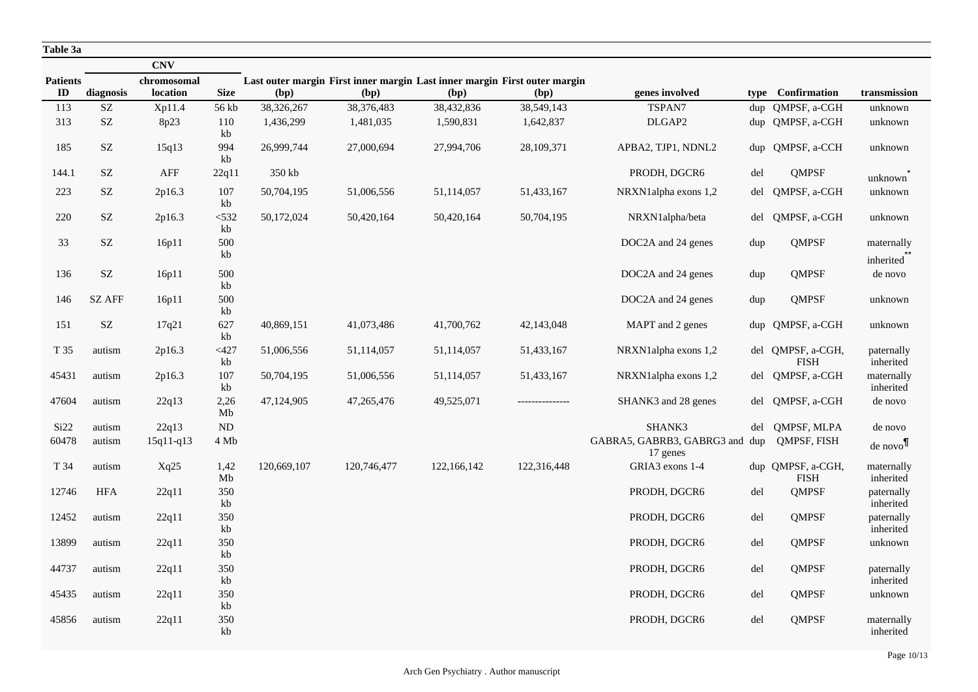| Table 3a        |                            |             |             |             |             |             |                                                                           |                                        |     |                                  |                                             |
|-----------------|----------------------------|-------------|-------------|-------------|-------------|-------------|---------------------------------------------------------------------------|----------------------------------------|-----|----------------------------------|---------------------------------------------|
|                 |                            | <b>CNV</b>  |             |             |             |             |                                                                           |                                        |     |                                  |                                             |
| <b>Patients</b> |                            | chromosomal |             |             |             |             | Last outer margin First inner margin Last inner margin First outer margin |                                        |     |                                  |                                             |
| ID              | diagnosis                  | location    | <b>Size</b> | (bp)        | (bp)        | (bp)        | (bp)                                                                      | genes involved                         |     | type Confirmation                | transmission                                |
| 113             | $\ensuremath{\mathrm{SZ}}$ | Xp11.4      | 56 kb       | 38,326,267  | 38,376,483  | 38,432,836  | 38,549,143                                                                | TSPAN7                                 | dup | QMPSF, a-CGH                     | unknown                                     |
| 313             | $\ensuremath{\mathrm{SZ}}$ | 8p23        | 110<br>kb   | 1,436,299   | 1,481,035   | 1,590,831   | 1,642,837                                                                 | DLGAP2                                 |     | dup QMPSF, a-CGH                 | unknown                                     |
| 185             | $\ensuremath{\mathrm{SZ}}$ | 15q13       | 994<br>kb   | 26,999,744  | 27,000,694  | 27,994,706  | 28,109,371                                                                | APBA2, TJP1, NDNL2                     |     | dup QMPSF, a-CCH                 | unknown                                     |
| 144.1           | SZ                         | AFF         | 22q11       | 350 kb      |             |             |                                                                           | PRODH, DGCR6                           | del | <b>QMPSF</b>                     | unknown                                     |
| 223             | <b>SZ</b>                  | 2p16.3      | 107<br>kb   | 50,704,195  | 51,006,556  | 51,114,057  | 51,433,167                                                                | NRXN1alpha exons 1,2                   | del | QMPSF, a-CGH                     | unknown                                     |
| 220             | SZ.                        | 2p16.3      | < 532<br>kb | 50,172,024  | 50,420,164  | 50,420,164  | 50,704,195                                                                | NRXN1alpha/beta                        | del | QMPSF, a-CGH                     | unknown                                     |
| 33              | $\ensuremath{\mathrm{SZ}}$ | 16p11       | 500<br>kb   |             |             |             |                                                                           | DOC2A and 24 genes                     | dup | <b>QMPSF</b>                     | maternally<br>inherited                     |
| 136             | $\ensuremath{\mathrm{SZ}}$ | 16p11       | 500<br>kb   |             |             |             |                                                                           | DOC2A and 24 genes                     | dup | <b>QMPSF</b>                     | de novo                                     |
| 146             | SZ AFF                     | 16p11       | 500<br>kb   |             |             |             |                                                                           | DOC2A and 24 genes                     | dup | <b>QMPSF</b>                     | unknown                                     |
| 151             | $\ensuremath{\mathrm{SZ}}$ | 17q21       | 627<br>kb   | 40,869,151  | 41,073,486  | 41,700,762  | 42,143,048                                                                | MAPT and 2 genes                       |     | dup QMPSF, a-CGH                 | unknown                                     |
| T 35            | autism                     | 2p16.3      | < 427<br>kb | 51,006,556  | 51,114,057  | 51,114,057  | 51,433,167                                                                | NRXN1alpha exons 1,2                   |     | del QMPSF, a-CGH,<br><b>FISH</b> | paternally<br>inherited                     |
| 45431           | autism                     | 2p16.3      | 107<br>kb   | 50,704,195  | 51,006,556  | 51,114,057  | 51,433,167                                                                | NRXN1alpha exons 1,2                   | del | QMPSF, a-CGH                     | maternally<br>inherited                     |
| 47604           | autism                     | 22q13       | 2,26<br>Mb  | 47,124,905  | 47,265,476  | 49,525,071  |                                                                           | SHANK3 and 28 genes                    | del | OMPSF, a-CGH                     | de novo                                     |
| Si22            | autism                     | 22q13       | <b>ND</b>   |             |             |             |                                                                           | SHANK3                                 | del | QMPSF, MLPA                      | de novo                                     |
| 60478           | autism                     | $15q11-q13$ | 4 Mb        |             |             |             |                                                                           | GABRA5, GABRB3, GABRG3 and<br>17 genes | dup | <b>OMPSF, FISH</b>               | $de novo$ <sup><math>\parallel</math></sup> |
| T 34            | autism                     | Xq25        | 1,42<br>Mb  | 120,669,107 | 120,746,477 | 122,166,142 | 122,316,448                                                               | GRIA3 exons 1-4                        |     | dup QMPSF, a-CGH,<br><b>FISH</b> | maternally<br>inherited                     |
| 12746           | <b>HFA</b>                 | 22q11       | 350<br>kb   |             |             |             |                                                                           | PRODH, DGCR6                           | del | <b>OMPSF</b>                     | paternally<br>inherited                     |
| 12452           | autism                     | 22q11       | 350<br>kb   |             |             |             |                                                                           | PRODH, DGCR6                           | del | <b>OMPSF</b>                     | paternally<br>inherited                     |
| 13899           | autism                     | 22q11       | 350<br>kb   |             |             |             |                                                                           | PRODH, DGCR6                           | del | QMPSF                            | unknown                                     |
| 44737           | autism                     | 22q11       | 350<br>kb   |             |             |             |                                                                           | PRODH, DGCR6                           | del | <b>OMPSF</b>                     | paternally<br>inherited                     |
| 45435           | autism                     | 22q11       | 350<br>kb   |             |             |             |                                                                           | PRODH, DGCR6                           | del | QMPSF                            | unknown                                     |
| 45856           | autism                     | 22q11       | 350<br>kb   |             |             |             |                                                                           | PRODH, DGCR6                           | del | <b>OMPSF</b>                     | maternally<br>inherited                     |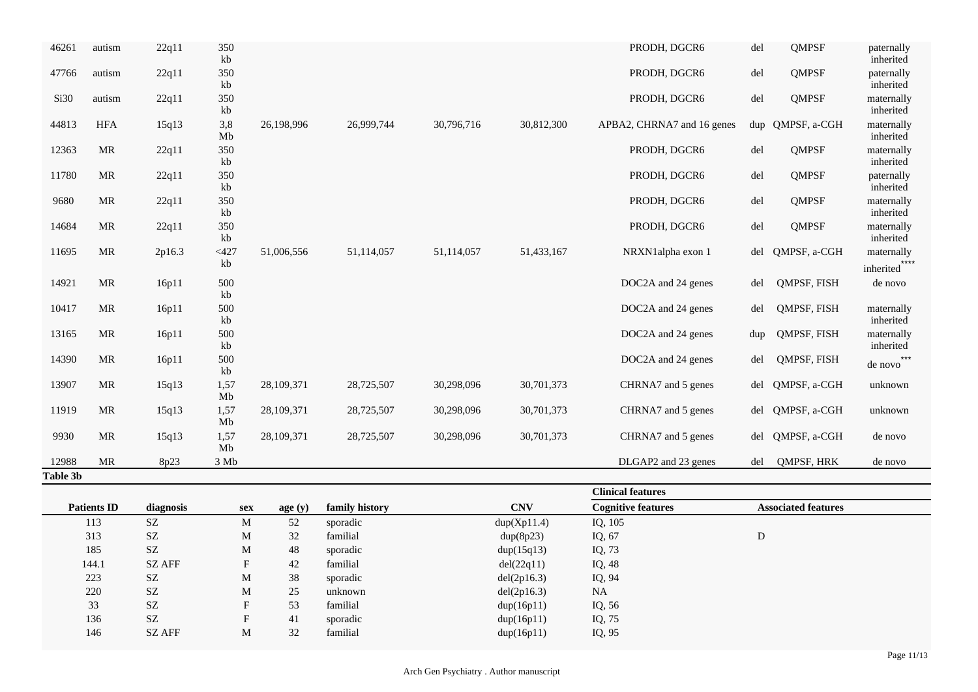|          | 220                               | SZ.                        | M               | 25         | unknown        |            | del(2p16.3) | NA                         |     |                            |                                  |
|----------|-----------------------------------|----------------------------|-----------------|------------|----------------|------------|-------------|----------------------------|-----|----------------------------|----------------------------------|
|          | 223                               | $\ensuremath{\mathrm{SZ}}$ | $\mathbf{M}$    | 38         | sporadic       |            | del(2p16.3) | IQ, 94                     |     |                            |                                  |
|          | 144.1                             | SZ AFF                     | F               | 42         | familial       |            | del(22q11)  | IQ, 48                     |     |                            |                                  |
|          | 185                               | SZ                         | M               | 48         | sporadic       |            | dup(15q13)  | IQ, 73                     |     |                            |                                  |
|          | 313                               | $\ensuremath{\mathrm{SZ}}$ | $\mathbf M$     | 32         | familial       |            | dup(8p23)   | IQ, 67                     | D   |                            |                                  |
|          | 113                               | $\ensuremath{\mathrm{SZ}}$ | M               | $52\,$     | sporadic       |            | dup(Xp11.4) | IQ, 105                    |     |                            |                                  |
|          | <b>Patients ID</b>                | diagnosis                  | sex             | age(y)     | family history |            | <b>CNV</b>  | <b>Cognitive features</b>  |     | <b>Associated features</b> |                                  |
|          |                                   |                            |                 |            |                |            |             | <b>Clinical features</b>   |     |                            |                                  |
| Table 3b |                                   |                            |                 |            |                |            |             |                            |     |                            |                                  |
| 12988    | $\ensuremath{\mathsf{MR}}\xspace$ | 8p23                       | 3 Mb            |            |                |            |             | DLGAP2 and 23 genes        | del | QMPSF, HRK                 | de novo                          |
| 9930     | $\ensuremath{\mathsf{MR}}\xspace$ | 15q13                      | 1,57<br>Mb      | 28,109,371 | 28,725,507     | 30,298,096 | 30,701,373  | CHRNA7 and 5 genes         |     | del QMPSF, a-CGH           | de novo                          |
|          |                                   |                            | Mb              |            |                |            |             |                            |     |                            |                                  |
| 11919    | $\ensuremath{\mathsf{MR}}\xspace$ | 15q13                      | Mb<br>1,57      | 28,109,371 | 28,725,507     | 30,298,096 | 30,701,373  | CHRNA7 and 5 genes         | del | QMPSF, a-CGH               | unknown                          |
| 13907    | $\ensuremath{\mathsf{MR}}\xspace$ | 15q13                      | kb<br>1,57      | 28,109,371 | 28,725,507     | 30,298,096 | 30,701,373  | CHRNA7 and 5 genes         | del | QMPSF, a-CGH               | unknown                          |
| 14390    | $\ensuremath{\mathsf{MR}}\xspace$ | 16p11                      | 500             |            |                |            |             | DOC2A and 24 genes         | del | QMPSF, FISH                | de novo $\overleftrightarrow{ }$ |
| 13165    | $\ensuremath{\mathsf{MR}}\xspace$ | 16p11                      | 500<br>kb       |            |                |            |             | DOC2A and 24 genes         | dup | QMPSF, FISH                | maternally<br>inherited          |
| 10417    | $\ensuremath{\mathsf{MR}}\xspace$ | 16p11                      | 500<br>kb       |            |                |            |             | DOC2A and 24 genes         | del | QMPSF, FISH                | maternally<br>inherited          |
| 14921    | $\ensuremath{\mathsf{MR}}\xspace$ | 16p11                      | 500<br>kb       |            |                |            |             | DOC2A and 24 genes         | del | QMPSF, FISH                | de novo                          |
| 11695    |                                   | 2p16.3                     | kb              | 51,006,556 | 51,114,057     | 51,114,057 | 51,433,167  | NRXN1alpha exon 1          | del |                            | maternally<br>****<br>inherited  |
|          | $\ensuremath{\mathsf{MR}}\xspace$ |                            | kb<br>$<$ 427   |            |                |            |             |                            |     | QMPSF, a-CGH               | inherited                        |
| 14684    | MR                                | 22q11                      | kb<br>350       |            |                |            |             | PRODH, DGCR6               | del | <b>QMPSF</b>               | inherited<br>maternally          |
| 9680     | MR                                | 22q11                      | kb<br>350       |            |                |            |             | PRODH, DGCR6               | del | QMPSF                      | inherited<br>maternally          |
| 11780    | $\ensuremath{\mathsf{MR}}\xspace$ | 22q11                      | kb<br>350       |            |                |            |             | PRODH, DGCR6               | del | QMPSF                      | inherited<br>paternally          |
| 12363    | $\ensuremath{\mathsf{MR}}\xspace$ | 22q11                      | $\rm Mb$<br>350 |            |                |            |             | PRODH, DGCR6               | del | <b>QMPSF</b>               | inherited<br>maternally          |
| 44813    | <b>HFA</b>                        | 15q13                      | 3,8             | 26,198,996 | 26,999,744     | 30,796,716 | 30,812,300  | APBA2, CHRNA7 and 16 genes | dup | QMPSF, a-CGH               | maternally                       |
| Si30     | autism                            | 22q11                      | 350<br>kb       |            |                |            |             | PRODH, DGCR6               | del | <b>QMPSF</b>               | maternally<br>inherited          |
| 47766    | autism                            | 22q11                      | 350<br>kb       |            |                |            |             | PRODH, DGCR6               | del | QMPSF                      | paternally<br>inherited          |
| 46261    | autism                            | 22q11                      | 350<br>kb       |            |                |            |             | PRODH, DGCR6               | del | <b>QMPSF</b>               | paternally<br>inherited          |
|          |                                   |                            |                 |            |                |            |             |                            |     |                            |                                  |

 $\begin{array}{ccc}\nSZ & M & 25 \text{ unknown} \\
SZ & F & 53 \text{ familiar} \\
\end{array}$   $\begin{array}{ccc}\n\text{unknown} & \text{del}(2p16.3) \\
\text{d}\text{up}(16p11)\n\end{array}$ 33 SZ F 53 familial dup(16p11) IQ, 56<br>136 SZ F 41 sporadic dup(16p11) IQ, 75 136 SZ F 41 sporadic dup(16p11) IQ, 75<br>146 SZAFF M 32 familial dup(16p11) IQ, 95 146 SZ AFF M 32 familial dup(16p11) IQ, 95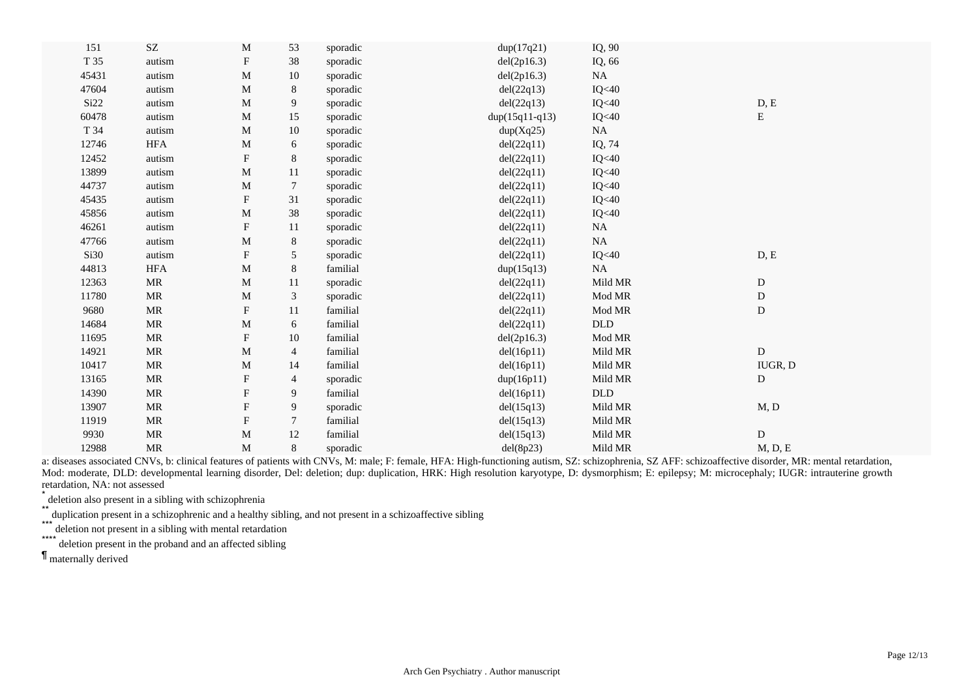| 151   | $\ensuremath{\mathrm{SZ}}$        | M                         | 53             | sporadic | dup(17q21)       | IQ, 90                      |             |
|-------|-----------------------------------|---------------------------|----------------|----------|------------------|-----------------------------|-------------|
| T 35  | autism                            | $\boldsymbol{\mathrm{F}}$ | 38             | sporadic | del(2p16.3)      | IQ, 66                      |             |
| 45431 | autism                            | $\mathbf M$               | 10             | sporadic | del(2p16.3)      | $\rm NA$                    |             |
| 47604 | autism                            | $\mathbf M$               | $\,8\,$        | sporadic | del(22q13)       | $IQ<40$                     |             |
| Si22  | autism                            | $\mathbf M$               | 9              | sporadic | del(22q13)       | IQ<40                       | D, E        |
| 60478 | autism                            | $\mathbf M$               | 15             | sporadic | $dup(15q11-q13)$ | IQ<40                       | ${\bf E}$   |
| T 34  | autism                            | $\mathbf M$               | $10\,$         | sporadic | dup(Xq25)        | NA                          |             |
| 12746 | <b>HFA</b>                        | $\mathbf M$               | $\sqrt{6}$     | sporadic | del(22q11)       | IQ, 74                      |             |
| 12452 | autism                            | $\boldsymbol{\mathrm{F}}$ | $8\,$          | sporadic | del(22q11)       | IQ<40                       |             |
| 13899 | autism                            | $\mathbf M$               | 11             | sporadic | del(22q11)       | IQ<40                       |             |
| 44737 | autism                            | $\mathbf M$               | $\tau$         | sporadic | del(22q11)       | IQ<40                       |             |
| 45435 | autism                            | ${\bf F}$                 | 31             | sporadic | del(22q11)       | IQ<40                       |             |
| 45856 | autism                            | $\mathbf M$               | 38             | sporadic | del(22q11)       | IQ<40                       |             |
| 46261 | autism                            | ${\bf F}$                 | 11             | sporadic | del(22q11)       | NA                          |             |
| 47766 | autism                            | $\mathbf M$               | $\,8\,$        | sporadic | del(22q11)       | $\rm NA$                    |             |
| Si30  | autism                            | $\boldsymbol{\mathrm{F}}$ | 5              | sporadic | del(22q11)       | IQ<40                       | D, E        |
| 44813 | <b>HFA</b>                        | $\mathbf M$               | $8\,$          | familial | dup(15q13)       | $\rm NA$                    |             |
| 12363 | $\ensuremath{\mathsf{MR}}\xspace$ | $\mathbf M$               | 11             | sporadic | del(22q11)       | Mild MR                     | D           |
| 11780 | $\ensuremath{\mathsf{MR}}\xspace$ | $\mathbf M$               | $\mathfrak{Z}$ | sporadic | del(22q11)       | Mod MR                      | ${\bf D}$   |
| 9680  | <b>MR</b>                         | $\boldsymbol{\mathrm{F}}$ | 11             | familial | del(22q11)       | Mod MR                      | D           |
| 14684 | <b>MR</b>                         | $\mathbf M$               | $6\,$          | familial | del(22q11)       | $\ensuremath{\mathrm{DLD}}$ |             |
| 11695 | <b>MR</b>                         | $\mathbf F$               | $10\,$         | familial | del(2p16.3)      | Mod MR                      |             |
| 14921 | $\ensuremath{\mathsf{MR}}\xspace$ | $\mathbf M$               | $\overline{4}$ | familial | del(16p11)       | Mild MR                     | $\mathbf D$ |
| 10417 | <b>MR</b>                         | $\mathbf M$               | 14             | familial | del(16p11)       | Mild MR                     | IUGR, D     |
| 13165 | $\ensuremath{\mathsf{MR}}\xspace$ | $\mathbf F$               | $\overline{4}$ | sporadic | dup(16p11)       | Mild MR                     | ${\rm D}$   |
| 14390 | <b>MR</b>                         | $_{\rm F}$                | 9              | familial | del(16p11)       | $\ensuremath{\mathrm{DLD}}$ |             |
| 13907 | $\ensuremath{\mathsf{MR}}\xspace$ | ${\rm F}$                 | $\overline{9}$ | sporadic | del(15q13)       | Mild MR                     | M, D        |
| 11919 | $\ensuremath{\mathsf{MR}}\xspace$ | $\boldsymbol{\mathrm{F}}$ | $\tau$         | familial | del(15q13)       | Mild MR                     |             |
| 9930  | $\ensuremath{\mathsf{MR}}\xspace$ | $\mathbf M$               | 12             | familial | del(15q13)       | Mild MR                     | ${\rm D}$   |
| 12988 | $\ensuremath{\mathsf{MR}}\xspace$ | M                         | $8\,$          | sporadic | del(8p23)        | Mild MR                     | M, D, E     |

a: diseases associated CNVs, b: clinical features of patients with CNVs, M: male; F: female, HFA: High-functioning autism, SZ: schizophrenia, SZ AFF: schizoaffective disorder, MR: mental retardation, Mod: moderate, DLD: developmental learning disorder, Del: deletion; dup: duplication, HRK: High resolution karyotype, D: dysmorphism; E: epilepsy; M: microcephaly; IUGR: intrauterine growth retardation, NA: not assessed

\* deletion also present in a sibling with schizophrenia

\*\* duplication present in a schizophrenic and a healthy sibling, and not present in a schizoaffective sibling

\*\*\* deletion not present in a sibling with mental retardation

\*\*\*\* \* deletion present in the proband and an affected sibling

¶ maternally derived